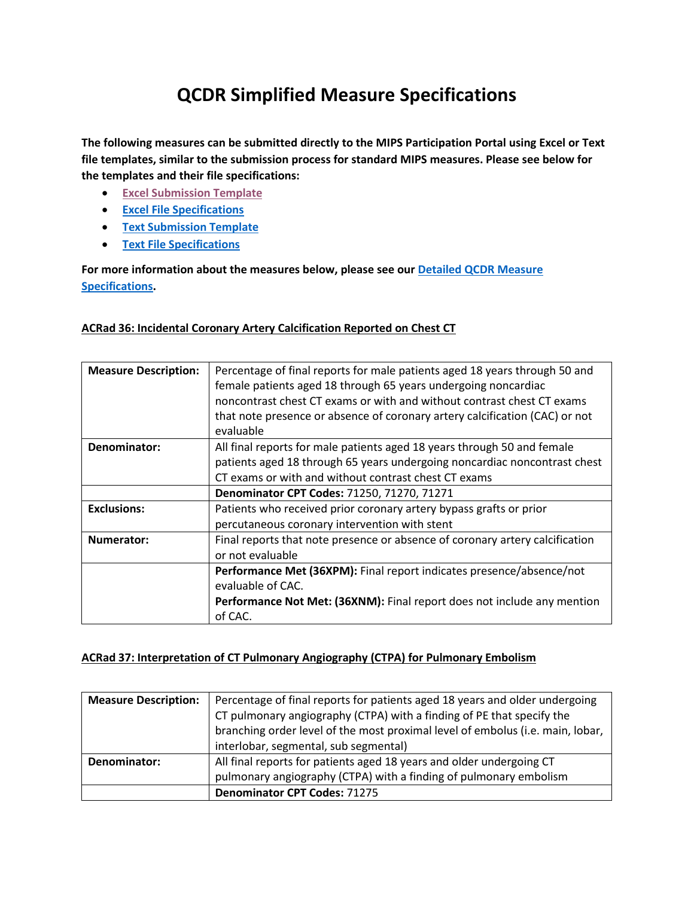# **QCDR Simplified Measure Specifications**

**The following measures can be submitted directly to the MIPS Participation Portal using Excel or Text file templates, similar to the submission process for standard MIPS measures. Please see below for the templates and their file specifications:**

- **[Excel Submission Template](https://www.acr.org/-/media/ACR/Files/Registries/QCDR/GRID-MIPS-Excel-Template.xlsx)**
- **[Excel File Specifications](https://www.acr.org/-/media/ACR/Files/Registries/QCDR/GRID-MIPS-Excel-Upload-Specifications.pdf)**
- **[Text Submission Template](https://www.acr.org/-/media/ACR/Files/Registries/QCDR/GRID-MIPS-Text-Template.txt)**
- **[Text File Specifications](https://www.acr.org/-/media/ACR/Files/Registries/QCDR/GRID-MIPS-Text-Upload-Specifications.pdf)**

**For more information about the measures below, please see ou[r Detailed QCDR Measure](https://www.acr.org/-/media/ACR/Files/Registries/QCDR/2022-QCDR-Measure-Specification-Details.pdf)  [Specifications.](https://www.acr.org/-/media/ACR/Files/Registries/QCDR/2022-QCDR-Measure-Specification-Details.pdf)**

#### **ACRad 36: Incidental Coronary Artery Calcification Reported on Chest CT**

| <b>Measure Description:</b> | Percentage of final reports for male patients aged 18 years through 50 and   |
|-----------------------------|------------------------------------------------------------------------------|
|                             | female patients aged 18 through 65 years undergoing noncardiac               |
|                             |                                                                              |
|                             | noncontrast chest CT exams or with and without contrast chest CT exams       |
|                             | that note presence or absence of coronary artery calcification (CAC) or not  |
|                             | evaluable                                                                    |
| Denominator:                | All final reports for male patients aged 18 years through 50 and female      |
|                             | patients aged 18 through 65 years undergoing noncardiac noncontrast chest    |
|                             | CT exams or with and without contrast chest CT exams                         |
|                             | Denominator CPT Codes: 71250, 71270, 71271                                   |
| <b>Exclusions:</b>          | Patients who received prior coronary artery bypass grafts or prior           |
|                             | percutaneous coronary intervention with stent                                |
| <b>Numerator:</b>           | Final reports that note presence or absence of coronary artery calcification |
|                             | or not evaluable                                                             |
|                             | Performance Met (36XPM): Final report indicates presence/absence/not         |
|                             | evaluable of CAC.                                                            |
|                             | Performance Not Met: (36XNM): Final report does not include any mention      |
|                             | of CAC.                                                                      |

#### **ACRad 37: Interpretation of CT Pulmonary Angiography (CTPA) for Pulmonary Embolism**

| <b>Measure Description:</b> | Percentage of final reports for patients aged 18 years and older undergoing    |
|-----------------------------|--------------------------------------------------------------------------------|
|                             | CT pulmonary angiography (CTPA) with a finding of PE that specify the          |
|                             | branching order level of the most proximal level of embolus (i.e. main, lobar, |
|                             | interlobar, segmental, sub segmental)                                          |
| Denominator:                | All final reports for patients aged 18 years and older undergoing CT           |
|                             | pulmonary angiography (CTPA) with a finding of pulmonary embolism              |
|                             | <b>Denominator CPT Codes: 71275</b>                                            |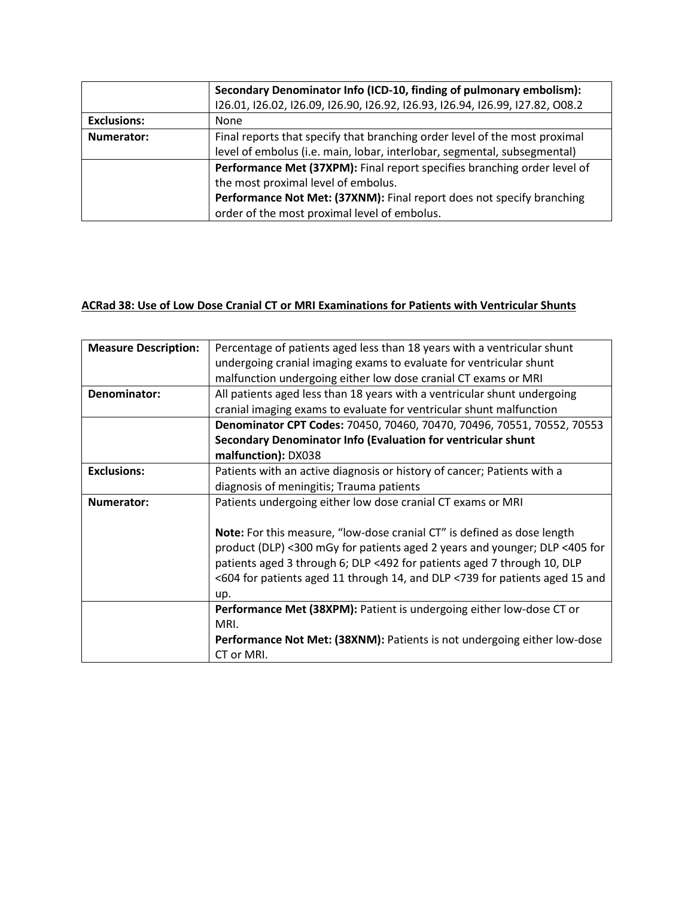|                    | Secondary Denominator Info (ICD-10, finding of pulmonary embolism):           |
|--------------------|-------------------------------------------------------------------------------|
|                    | 126.01, 126.02, 126.09, 126.90, 126.92, 126.93, 126.94, 126.99, 127.82, 008.2 |
| <b>Exclusions:</b> | None                                                                          |
| Numerator:         | Final reports that specify that branching order level of the most proximal    |
|                    | level of embolus (i.e. main, lobar, interlobar, segmental, subsegmental)      |
|                    | Performance Met (37XPM): Final report specifies branching order level of      |
|                    | the most proximal level of embolus.                                           |
|                    | Performance Not Met: (37XNM): Final report does not specify branching         |
|                    | order of the most proximal level of embolus.                                  |

#### **ACRad 38: Use of Low Dose Cranial CT or MRI Examinations for Patients with Ventricular Shunts**

| <b>Measure Description:</b> | Percentage of patients aged less than 18 years with a ventricular shunt        |
|-----------------------------|--------------------------------------------------------------------------------|
|                             | undergoing cranial imaging exams to evaluate for ventricular shunt             |
|                             | malfunction undergoing either low dose cranial CT exams or MRI                 |
| Denominator:                | All patients aged less than 18 years with a ventricular shunt undergoing       |
|                             | cranial imaging exams to evaluate for ventricular shunt malfunction            |
|                             | Denominator CPT Codes: 70450, 70460, 70470, 70496, 70551, 70552, 70553         |
|                             | Secondary Denominator Info (Evaluation for ventricular shunt                   |
|                             | malfunction): DX038                                                            |
| <b>Exclusions:</b>          | Patients with an active diagnosis or history of cancer; Patients with a        |
|                             | diagnosis of meningitis; Trauma patients                                       |
| Numerator:                  | Patients undergoing either low dose cranial CT exams or MRI                    |
|                             |                                                                                |
|                             | <b>Note:</b> For this measure, "low-dose cranial CT" is defined as dose length |
|                             | product (DLP) <300 mGy for patients aged 2 years and younger; DLP <405 for     |
|                             | patients aged 3 through 6; DLP <492 for patients aged 7 through 10, DLP        |
|                             | <604 for patients aged 11 through 14, and DLP <739 for patients aged 15 and    |
|                             | up.                                                                            |
|                             | Performance Met (38XPM): Patient is undergoing either low-dose CT or           |
|                             | MRI.                                                                           |
|                             | Performance Not Met: (38XNM): Patients is not undergoing either low-dose       |
|                             | CT or MRI.                                                                     |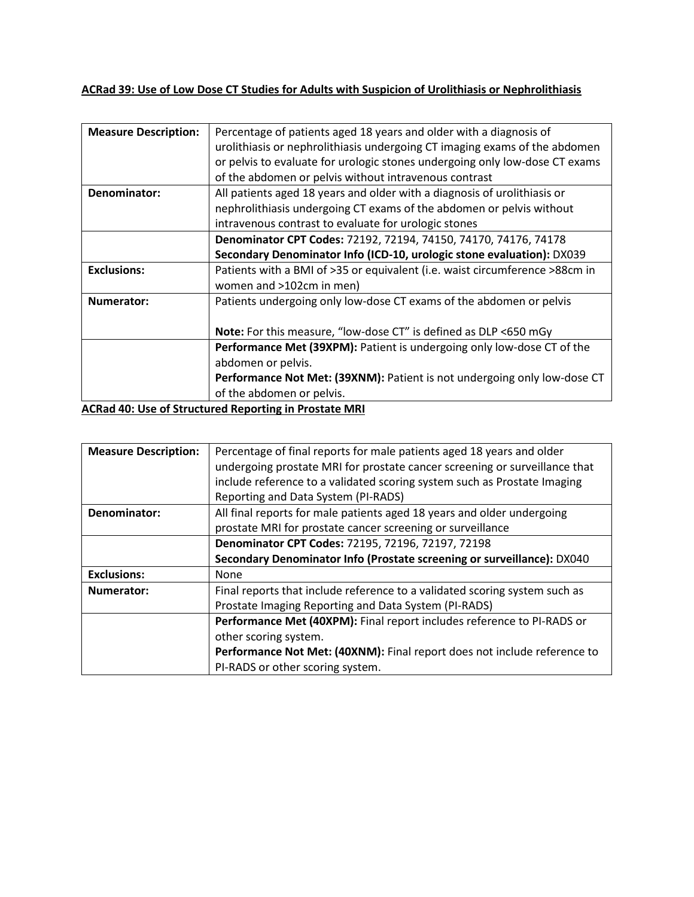## **ACRad 39: Use of Low Dose CT Studies for Adults with Suspicion of Urolithiasis or Nephrolithiasis**

| <b>Measure Description:</b> | Percentage of patients aged 18 years and older with a diagnosis of<br>urolithiasis or nephrolithiasis undergoing CT imaging exams of the abdomen<br>or pelvis to evaluate for urologic stones undergoing only low-dose CT exams<br>of the abdomen or pelvis without intravenous contrast |
|-----------------------------|------------------------------------------------------------------------------------------------------------------------------------------------------------------------------------------------------------------------------------------------------------------------------------------|
| Denominator:                | All patients aged 18 years and older with a diagnosis of urolithiasis or                                                                                                                                                                                                                 |
|                             | nephrolithiasis undergoing CT exams of the abdomen or pelvis without<br>intravenous contrast to evaluate for urologic stones                                                                                                                                                             |
|                             | Denominator CPT Codes: 72192, 72194, 74150, 74170, 74176, 74178                                                                                                                                                                                                                          |
|                             | Secondary Denominator Info (ICD-10, urologic stone evaluation): DX039                                                                                                                                                                                                                    |
| <b>Exclusions:</b>          | Patients with a BMI of >35 or equivalent (i.e. waist circumference >88cm in<br>women and >102cm in men)                                                                                                                                                                                  |
| Numerator:                  | Patients undergoing only low-dose CT exams of the abdomen or pelvis                                                                                                                                                                                                                      |
|                             | Note: For this measure, "low-dose CT" is defined as DLP <650 mGy                                                                                                                                                                                                                         |
|                             | Performance Met (39XPM): Patient is undergoing only low-dose CT of the                                                                                                                                                                                                                   |
|                             | abdomen or pelvis.                                                                                                                                                                                                                                                                       |
|                             | Performance Not Met: (39XNM): Patient is not undergoing only low-dose CT<br>of the abdomen or pelvis.                                                                                                                                                                                    |

**ACRad 40: Use of Structured Reporting in Prostate MRI**

| <b>Measure Description:</b> | Percentage of final reports for male patients aged 18 years and older      |
|-----------------------------|----------------------------------------------------------------------------|
|                             | undergoing prostate MRI for prostate cancer screening or surveillance that |
|                             | include reference to a validated scoring system such as Prostate Imaging   |
|                             | Reporting and Data System (PI-RADS)                                        |
| Denominator:                | All final reports for male patients aged 18 years and older undergoing     |
|                             | prostate MRI for prostate cancer screening or surveillance                 |
|                             | Denominator CPT Codes: 72195, 72196, 72197, 72198                          |
|                             | Secondary Denominator Info (Prostate screening or surveillance): DX040     |
| <b>Exclusions:</b>          | <b>None</b>                                                                |
| Numerator:                  | Final reports that include reference to a validated scoring system such as |
|                             | Prostate Imaging Reporting and Data System (PI-RADS)                       |
|                             | Performance Met (40XPM): Final report includes reference to PI-RADS or     |
|                             | other scoring system.                                                      |
|                             | Performance Not Met: (40XNM): Final report does not include reference to   |
|                             | PI-RADS or other scoring system.                                           |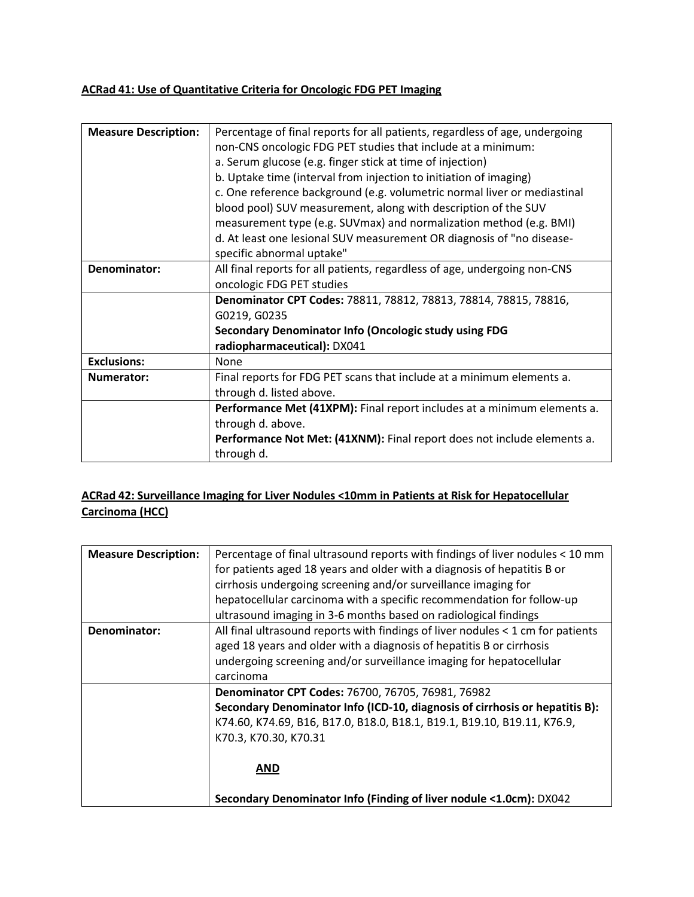# **ACRad 41: Use of Quantitative Criteria for Oncologic FDG PET Imaging**

| <b>Measure Description:</b> | Percentage of final reports for all patients, regardless of age, undergoing |
|-----------------------------|-----------------------------------------------------------------------------|
|                             | non-CNS oncologic FDG PET studies that include at a minimum:                |
|                             | a. Serum glucose (e.g. finger stick at time of injection)                   |
|                             | b. Uptake time (interval from injection to initiation of imaging)           |
|                             | c. One reference background (e.g. volumetric normal liver or mediastinal    |
|                             | blood pool) SUV measurement, along with description of the SUV              |
|                             | measurement type (e.g. SUVmax) and normalization method (e.g. BMI)          |
|                             | d. At least one lesional SUV measurement OR diagnosis of "no disease-       |
|                             | specific abnormal uptake"                                                   |
| Denominator:                | All final reports for all patients, regardless of age, undergoing non-CNS   |
|                             | oncologic FDG PET studies                                                   |
|                             | Denominator CPT Codes: 78811, 78812, 78813, 78814, 78815, 78816,            |
|                             | G0219, G0235                                                                |
|                             | Secondary Denominator Info (Oncologic study using FDG                       |
|                             | radiopharmaceutical): DX041                                                 |
| <b>Exclusions:</b>          | None                                                                        |
| Numerator:                  | Final reports for FDG PET scans that include at a minimum elements a.       |
|                             | through d. listed above.                                                    |
|                             | Performance Met (41XPM): Final report includes at a minimum elements a.     |
|                             | through d. above.                                                           |
|                             | Performance Not Met: (41XNM): Final report does not include elements a.     |
|                             | through d.                                                                  |

# **ACRad 42: Surveillance Imaging for Liver Nodules <10mm in Patients at Risk for Hepatocellular Carcinoma (HCC)**

| <b>Measure Description:</b> | Percentage of final ultrasound reports with findings of liver nodules < 10 mm   |
|-----------------------------|---------------------------------------------------------------------------------|
|                             | for patients aged 18 years and older with a diagnosis of hepatitis B or         |
|                             | cirrhosis undergoing screening and/or surveillance imaging for                  |
|                             | hepatocellular carcinoma with a specific recommendation for follow-up           |
|                             | ultrasound imaging in 3-6 months based on radiological findings                 |
| Denominator:                | All final ultrasound reports with findings of liver nodules < 1 cm for patients |
|                             | aged 18 years and older with a diagnosis of hepatitis B or cirrhosis            |
|                             | undergoing screening and/or surveillance imaging for hepatocellular             |
|                             | carcinoma                                                                       |
|                             | Denominator CPT Codes: 76700, 76705, 76981, 76982                               |
|                             | Secondary Denominator Info (ICD-10, diagnosis of cirrhosis or hepatitis B):     |
|                             | K74.60, K74.69, B16, B17.0, B18.0, B18.1, B19.1, B19.10, B19.11, K76.9,         |
|                             | K70.3, K70.30, K70.31                                                           |
|                             |                                                                                 |
|                             | <b>AND</b>                                                                      |
|                             |                                                                                 |
|                             | Secondary Denominator Info (Finding of liver nodule <1.0cm): DX042              |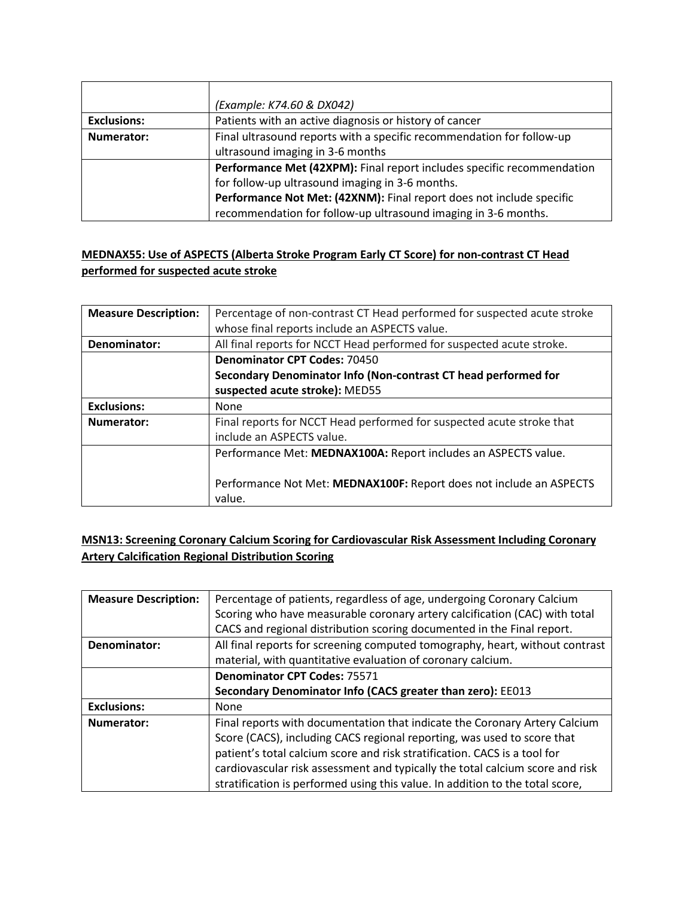|                    | (Example: K74.60 & DX042)                                              |
|--------------------|------------------------------------------------------------------------|
| <b>Exclusions:</b> | Patients with an active diagnosis or history of cancer                 |
| Numerator:         | Final ultrasound reports with a specific recommendation for follow-up  |
|                    | ultrasound imaging in 3-6 months                                       |
|                    | Performance Met (42XPM): Final report includes specific recommendation |
|                    | for follow-up ultrasound imaging in 3-6 months.                        |
|                    | Performance Not Met: (42XNM): Final report does not include specific   |
|                    | recommendation for follow-up ultrasound imaging in 3-6 months.         |

### **MEDNAX55: Use of ASPECTS (Alberta Stroke Program Early CT Score) for non-contrast CT Head performed for suspected acute stroke**

| <b>Measure Description:</b> | Percentage of non-contrast CT Head performed for suspected acute stroke |
|-----------------------------|-------------------------------------------------------------------------|
|                             | whose final reports include an ASPECTS value.                           |
| Denominator:                | All final reports for NCCT Head performed for suspected acute stroke.   |
|                             | <b>Denominator CPT Codes: 70450</b>                                     |
|                             | Secondary Denominator Info (Non-contrast CT head performed for          |
|                             | suspected acute stroke): MED55                                          |
| <b>Exclusions:</b>          | None                                                                    |
| Numerator:                  | Final reports for NCCT Head performed for suspected acute stroke that   |
|                             | include an ASPECTS value.                                               |
|                             | Performance Met: MEDNAX100A: Report includes an ASPECTS value.          |
|                             |                                                                         |
|                             | Performance Not Met: MEDNAX100F: Report does not include an ASPECTS     |
|                             | value.                                                                  |

# **MSN13: Screening Coronary Calcium Scoring for Cardiovascular Risk Assessment Including Coronary Artery Calcification Regional Distribution Scoring**

| <b>Measure Description:</b> | Percentage of patients, regardless of age, undergoing Coronary Calcium        |
|-----------------------------|-------------------------------------------------------------------------------|
|                             | Scoring who have measurable coronary artery calcification (CAC) with total    |
|                             | CACS and regional distribution scoring documented in the Final report.        |
| Denominator:                | All final reports for screening computed tomography, heart, without contrast  |
|                             | material, with quantitative evaluation of coronary calcium.                   |
|                             | <b>Denominator CPT Codes: 75571</b>                                           |
|                             | Secondary Denominator Info (CACS greater than zero): EE013                    |
| <b>Exclusions:</b>          | <b>None</b>                                                                   |
| Numerator:                  | Final reports with documentation that indicate the Coronary Artery Calcium    |
|                             | Score (CACS), including CACS regional reporting, was used to score that       |
|                             | patient's total calcium score and risk stratification. CACS is a tool for     |
|                             | cardiovascular risk assessment and typically the total calcium score and risk |
|                             | stratification is performed using this value. In addition to the total score, |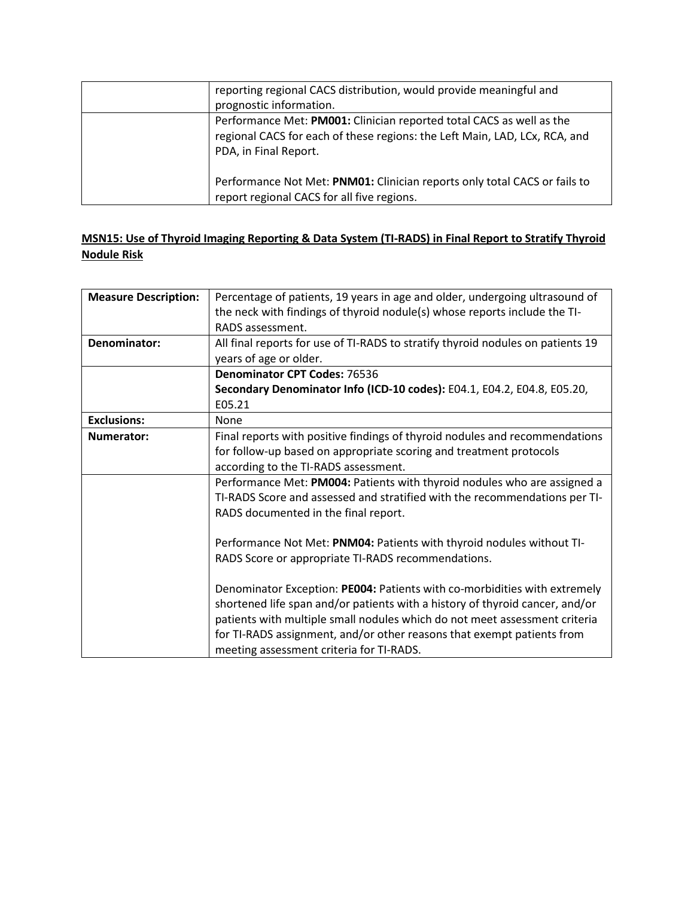| reporting regional CACS distribution, would provide meaningful and<br>prognostic information.                                                                               |
|-----------------------------------------------------------------------------------------------------------------------------------------------------------------------------|
| Performance Met: PM001: Clinician reported total CACS as well as the<br>regional CACS for each of these regions: the Left Main, LAD, LCx, RCA, and<br>PDA, in Final Report. |
| Performance Not Met: PNM01: Clinician reports only total CACS or fails to<br>report regional CACS for all five regions.                                                     |

## **MSN15: Use of Thyroid Imaging Reporting & Data System (TI-RADS) in Final Report to Stratify Thyroid Nodule Risk**

| <b>Measure Description:</b> | Percentage of patients, 19 years in age and older, undergoing ultrasound of     |
|-----------------------------|---------------------------------------------------------------------------------|
|                             | the neck with findings of thyroid nodule(s) whose reports include the TI-       |
|                             | RADS assessment.                                                                |
| Denominator:                | All final reports for use of TI-RADS to stratify thyroid nodules on patients 19 |
|                             | years of age or older.                                                          |
|                             | <b>Denominator CPT Codes: 76536</b>                                             |
|                             | Secondary Denominator Info (ICD-10 codes): E04.1, E04.2, E04.8, E05.20,         |
|                             | E05.21                                                                          |
| <b>Exclusions:</b>          | None                                                                            |
| <b>Numerator:</b>           | Final reports with positive findings of thyroid nodules and recommendations     |
|                             | for follow-up based on appropriate scoring and treatment protocols              |
|                             | according to the TI-RADS assessment.                                            |
|                             | Performance Met: PM004: Patients with thyroid nodules who are assigned a        |
|                             | TI-RADS Score and assessed and stratified with the recommendations per TI-      |
|                             | RADS documented in the final report.                                            |
|                             |                                                                                 |
|                             | Performance Not Met: PNM04: Patients with thyroid nodules without TI-           |
|                             | RADS Score or appropriate TI-RADS recommendations.                              |
|                             |                                                                                 |
|                             | Denominator Exception: PE004: Patients with co-morbidities with extremely       |
|                             | shortened life span and/or patients with a history of thyroid cancer, and/or    |
|                             | patients with multiple small nodules which do not meet assessment criteria      |
|                             | for TI-RADS assignment, and/or other reasons that exempt patients from          |
|                             | meeting assessment criteria for TI-RADS.                                        |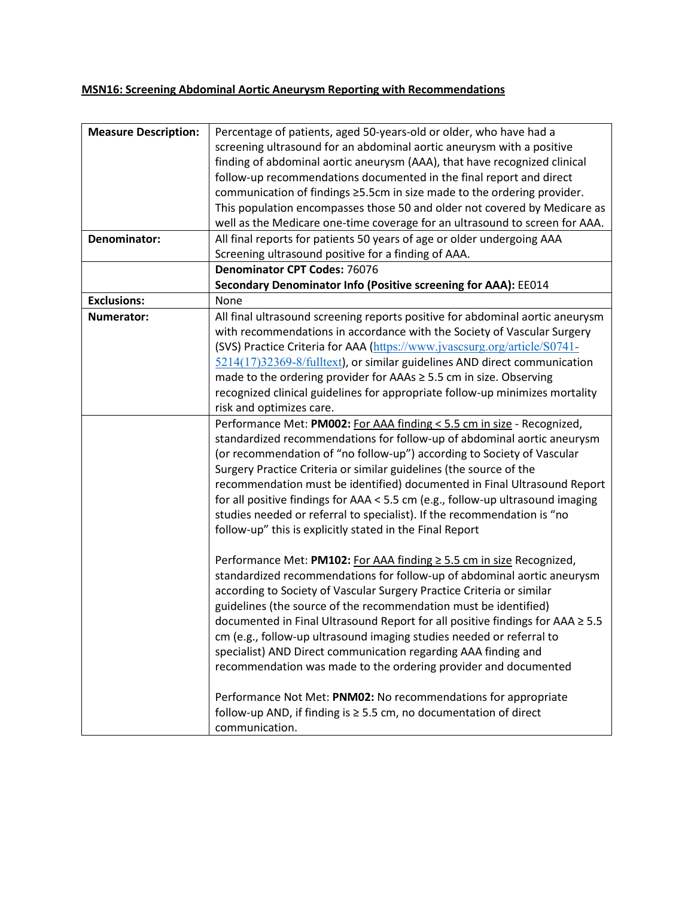# **MSN16: Screening Abdominal Aortic Aneurysm Reporting with Recommendations**

| <b>Measure Description:</b> | Percentage of patients, aged 50-years-old or older, who have had a             |
|-----------------------------|--------------------------------------------------------------------------------|
|                             | screening ultrasound for an abdominal aortic aneurysm with a positive          |
|                             | finding of abdominal aortic aneurysm (AAA), that have recognized clinical      |
|                             | follow-up recommendations documented in the final report and direct            |
|                             | communication of findings ≥5.5cm in size made to the ordering provider.        |
|                             | This population encompasses those 50 and older not covered by Medicare as      |
|                             | well as the Medicare one-time coverage for an ultrasound to screen for AAA.    |
| Denominator:                | All final reports for patients 50 years of age or older undergoing AAA         |
|                             | Screening ultrasound positive for a finding of AAA.                            |
|                             | <b>Denominator CPT Codes: 76076</b>                                            |
|                             | Secondary Denominator Info (Positive screening for AAA): EE014                 |
| <b>Exclusions:</b>          | None                                                                           |
| Numerator:                  | All final ultrasound screening reports positive for abdominal aortic aneurysm  |
|                             | with recommendations in accordance with the Society of Vascular Surgery        |
|                             | (SVS) Practice Criteria for AAA (https://www.jvascsurg.org/article/S0741-      |
|                             | 5214(17)32369-8/fulltext), or similar guidelines AND direct communication      |
|                             | made to the ordering provider for AAAs ≥ 5.5 cm in size. Observing             |
|                             | recognized clinical guidelines for appropriate follow-up minimizes mortality   |
|                             | risk and optimizes care.                                                       |
|                             | Performance Met: PM002: For AAA finding < 5.5 cm in size - Recognized,         |
|                             | standardized recommendations for follow-up of abdominal aortic aneurysm        |
|                             | (or recommendation of "no follow-up") according to Society of Vascular         |
|                             | Surgery Practice Criteria or similar guidelines (the source of the             |
|                             | recommendation must be identified) documented in Final Ultrasound Report       |
|                             | for all positive findings for AAA < 5.5 cm (e.g., follow-up ultrasound imaging |
|                             | studies needed or referral to specialist). If the recommendation is "no        |
|                             | follow-up" this is explicitly stated in the Final Report                       |
|                             |                                                                                |
|                             | Performance Met: PM102: For AAA finding ≥ 5.5 cm in size Recognized,           |
|                             | standardized recommendations for follow-up of abdominal aortic aneurysm        |
|                             | according to Society of Vascular Surgery Practice Criteria or similar          |
|                             | guidelines (the source of the recommendation must be identified)               |
|                             | documented in Final Ultrasound Report for all positive findings for AAA ≥ 5.5  |
|                             | cm (e.g., follow-up ultrasound imaging studies needed or referral to           |
|                             | specialist) AND Direct communication regarding AAA finding and                 |
|                             | recommendation was made to the ordering provider and documented                |
|                             |                                                                                |
|                             | Performance Not Met: PNM02: No recommendations for appropriate                 |
|                             | follow-up AND, if finding is ≥ 5.5 cm, no documentation of direct              |
|                             | communication.                                                                 |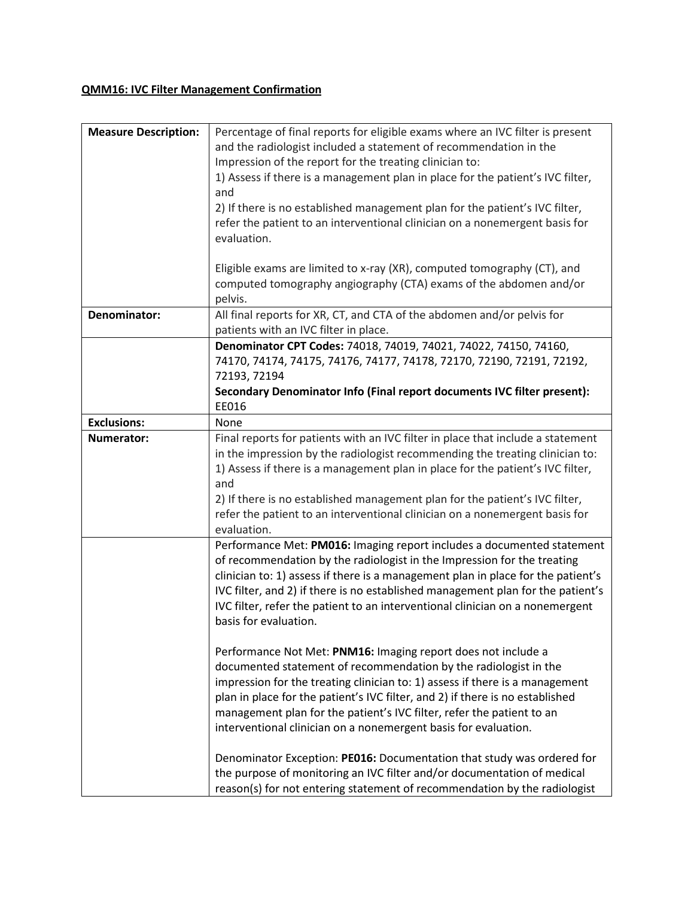# **QMM16: IVC Filter Management Confirmation**

| <b>Measure Description:</b> | Percentage of final reports for eligible exams where an IVC filter is present    |
|-----------------------------|----------------------------------------------------------------------------------|
|                             | and the radiologist included a statement of recommendation in the                |
|                             | Impression of the report for the treating clinician to:                          |
|                             | 1) Assess if there is a management plan in place for the patient's IVC filter,   |
|                             | and                                                                              |
|                             | 2) If there is no established management plan for the patient's IVC filter,      |
|                             | refer the patient to an interventional clinician on a nonemergent basis for      |
|                             | evaluation.                                                                      |
|                             |                                                                                  |
|                             | Eligible exams are limited to x-ray (XR), computed tomography (CT), and          |
|                             | computed tomography angiography (CTA) exams of the abdomen and/or                |
|                             | pelvis.                                                                          |
| Denominator:                | All final reports for XR, CT, and CTA of the abdomen and/or pelvis for           |
|                             | patients with an IVC filter in place.                                            |
|                             | Denominator CPT Codes: 74018, 74019, 74021, 74022, 74150, 74160,                 |
|                             | 74170, 74174, 74175, 74176, 74177, 74178, 72170, 72190, 72191, 72192,            |
|                             | 72193, 72194                                                                     |
|                             | Secondary Denominator Info (Final report documents IVC filter present):          |
|                             | EE016                                                                            |
| <b>Exclusions:</b>          | None                                                                             |
| Numerator:                  | Final reports for patients with an IVC filter in place that include a statement  |
|                             | in the impression by the radiologist recommending the treating clinician to:     |
|                             | 1) Assess if there is a management plan in place for the patient's IVC filter,   |
|                             | and                                                                              |
|                             | 2) If there is no established management plan for the patient's IVC filter,      |
|                             | refer the patient to an interventional clinician on a nonemergent basis for      |
|                             | evaluation.                                                                      |
|                             | Performance Met: PM016: Imaging report includes a documented statement           |
|                             | of recommendation by the radiologist in the Impression for the treating          |
|                             | clinician to: 1) assess if there is a management plan in place for the patient's |
|                             | IVC filter, and 2) if there is no established management plan for the patient's  |
|                             | IVC filter, refer the patient to an interventional clinician on a nonemergent    |
|                             | basis for evaluation.                                                            |
|                             |                                                                                  |
|                             | Performance Not Met: PNM16: Imaging report does not include a                    |
|                             | documented statement of recommendation by the radiologist in the                 |
|                             | impression for the treating clinician to: 1) assess if there is a management     |
|                             | plan in place for the patient's IVC filter, and 2) if there is no established    |
|                             | management plan for the patient's IVC filter, refer the patient to an            |
|                             | interventional clinician on a nonemergent basis for evaluation.                  |
|                             | Denominator Exception: PE016: Documentation that study was ordered for           |
|                             | the purpose of monitoring an IVC filter and/or documentation of medical          |
|                             | reason(s) for not entering statement of recommendation by the radiologist        |
|                             |                                                                                  |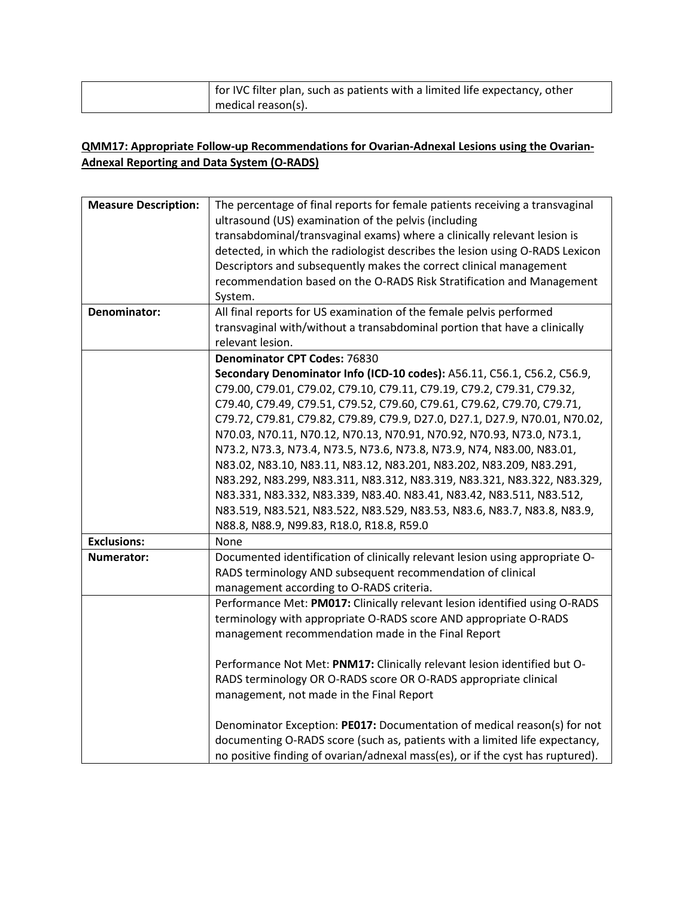| for IVC filter plan, such as patients with a limited life expectancy, other |
|-----------------------------------------------------------------------------|
| medical reason(s).                                                          |

## **QMM17: Appropriate Follow-up Recommendations for Ovarian-Adnexal Lesions using the Ovarian-Adnexal Reporting and Data System (O-RADS)**

| <b>Measure Description:</b> | The percentage of final reports for female patients receiving a transvaginal<br>ultrasound (US) examination of the pelvis (including |
|-----------------------------|--------------------------------------------------------------------------------------------------------------------------------------|
|                             |                                                                                                                                      |
|                             | transabdominal/transvaginal exams) where a clinically relevant lesion is                                                             |
|                             | detected, in which the radiologist describes the lesion using O-RADS Lexicon                                                         |
|                             | Descriptors and subsequently makes the correct clinical management                                                                   |
|                             | recommendation based on the O-RADS Risk Stratification and Management                                                                |
|                             | System.                                                                                                                              |
| Denominator:                | All final reports for US examination of the female pelvis performed                                                                  |
|                             | transvaginal with/without a transabdominal portion that have a clinically                                                            |
|                             | relevant lesion.                                                                                                                     |
|                             | <b>Denominator CPT Codes: 76830</b>                                                                                                  |
|                             | Secondary Denominator Info (ICD-10 codes): A56.11, C56.1, C56.2, C56.9,                                                              |
|                             | C79.00, C79.01, C79.02, C79.10, C79.11, C79.19, C79.2, C79.31, C79.32,                                                               |
|                             | C79.40, C79.49, C79.51, C79.52, C79.60, C79.61, C79.62, C79.70, C79.71,                                                              |
|                             | C79.72, C79.81, C79.82, C79.89, C79.9, D27.0, D27.1, D27.9, N70.01, N70.02,                                                          |
|                             | N70.03, N70.11, N70.12, N70.13, N70.91, N70.92, N70.93, N73.0, N73.1,                                                                |
|                             | N73.2, N73.3, N73.4, N73.5, N73.6, N73.8, N73.9, N74, N83.00, N83.01,                                                                |
|                             | N83.02, N83.10, N83.11, N83.12, N83.201, N83.202, N83.209, N83.291,                                                                  |
|                             | N83.292, N83.299, N83.311, N83.312, N83.319, N83.321, N83.322, N83.329,                                                              |
|                             | N83.331, N83.332, N83.339, N83.40. N83.41, N83.42, N83.511, N83.512,                                                                 |
|                             | N83.519, N83.521, N83.522, N83.529, N83.53, N83.6, N83.7, N83.8, N83.9,                                                              |
|                             | N88.8, N88.9, N99.83, R18.0, R18.8, R59.0                                                                                            |
| <b>Exclusions:</b>          | None                                                                                                                                 |
| Numerator:                  | Documented identification of clinically relevant lesion using appropriate O-                                                         |
|                             | RADS terminology AND subsequent recommendation of clinical                                                                           |
|                             | management according to O-RADS criteria.                                                                                             |
|                             | Performance Met: PM017: Clinically relevant lesion identified using O-RADS                                                           |
|                             | terminology with appropriate O-RADS score AND appropriate O-RADS                                                                     |
|                             | management recommendation made in the Final Report                                                                                   |
|                             |                                                                                                                                      |
|                             | Performance Not Met: PNM17: Clinically relevant lesion identified but O-                                                             |
|                             | RADS terminology OR O-RADS score OR O-RADS appropriate clinical                                                                      |
|                             | management, not made in the Final Report                                                                                             |
|                             |                                                                                                                                      |
|                             | Denominator Exception: PE017: Documentation of medical reason(s) for not                                                             |
|                             | documenting O-RADS score (such as, patients with a limited life expectancy,                                                          |
|                             | no positive finding of ovarian/adnexal mass(es), or if the cyst has ruptured).                                                       |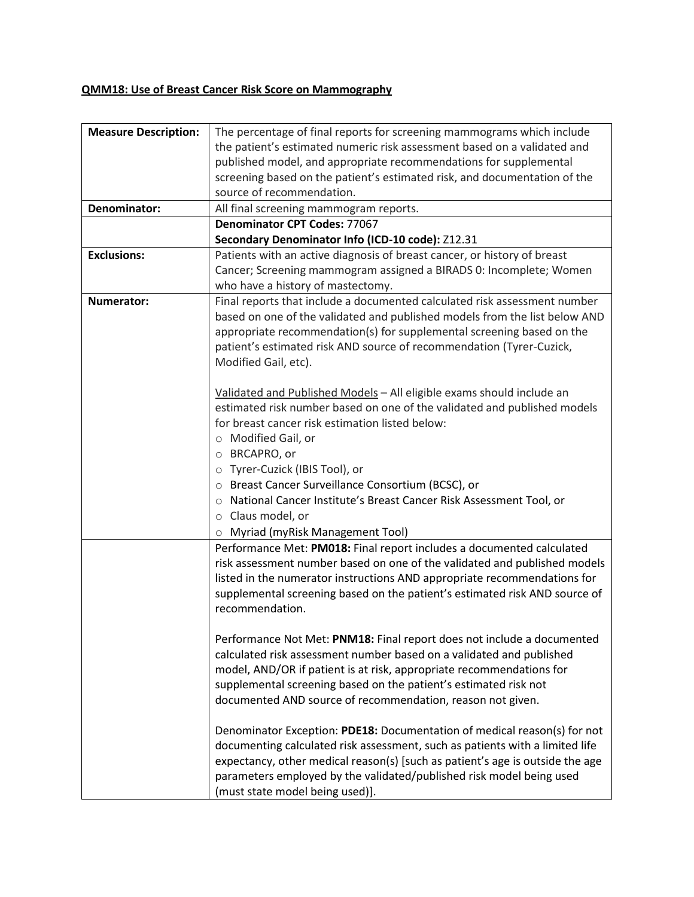# **QMM18: Use of Breast Cancer Risk Score on Mammography**

| <b>Measure Description:</b> | The percentage of final reports for screening mammograms which include        |
|-----------------------------|-------------------------------------------------------------------------------|
|                             | the patient's estimated numeric risk assessment based on a validated and      |
|                             | published model, and appropriate recommendations for supplemental             |
|                             | screening based on the patient's estimated risk, and documentation of the     |
|                             | source of recommendation.                                                     |
| Denominator:                | All final screening mammogram reports.                                        |
|                             | <b>Denominator CPT Codes: 77067</b>                                           |
|                             | Secondary Denominator Info (ICD-10 code): Z12.31                              |
| <b>Exclusions:</b>          | Patients with an active diagnosis of breast cancer, or history of breast      |
|                             | Cancer; Screening mammogram assigned a BIRADS 0: Incomplete; Women            |
|                             | who have a history of mastectomy.                                             |
| Numerator:                  | Final reports that include a documented calculated risk assessment number     |
|                             | based on one of the validated and published models from the list below AND    |
|                             | appropriate recommendation(s) for supplemental screening based on the         |
|                             | patient's estimated risk AND source of recommendation (Tyrer-Cuzick,          |
|                             | Modified Gail, etc).                                                          |
|                             |                                                                               |
|                             | Validated and Published Models - All eligible exams should include an         |
|                             | estimated risk number based on one of the validated and published models      |
|                             | for breast cancer risk estimation listed below:                               |
|                             | ○ Modified Gail, or                                                           |
|                             | O BRCAPRO, or                                                                 |
|                             |                                                                               |
|                             | O Tyrer-Cuzick (IBIS Tool), or                                                |
|                             | ○ Breast Cancer Surveillance Consortium (BCSC), or                            |
|                             | o National Cancer Institute's Breast Cancer Risk Assessment Tool, or          |
|                             | $\circ$ Claus model, or                                                       |
|                             | o Myriad (myRisk Management Tool)                                             |
|                             | Performance Met: PM018: Final report includes a documented calculated         |
|                             | risk assessment number based on one of the validated and published models     |
|                             | listed in the numerator instructions AND appropriate recommendations for      |
|                             | supplemental screening based on the patient's estimated risk AND source of    |
|                             | recommendation.                                                               |
|                             |                                                                               |
|                             | Performance Not Met: PNM18: Final report does not include a documented        |
|                             | calculated risk assessment number based on a validated and published          |
|                             | model, AND/OR if patient is at risk, appropriate recommendations for          |
|                             | supplemental screening based on the patient's estimated risk not              |
|                             | documented AND source of recommendation, reason not given.                    |
|                             |                                                                               |
|                             | Denominator Exception: PDE18: Documentation of medical reason(s) for not      |
|                             | documenting calculated risk assessment, such as patients with a limited life  |
|                             | expectancy, other medical reason(s) [such as patient's age is outside the age |
|                             | parameters employed by the validated/published risk model being used          |
|                             | (must state model being used)].                                               |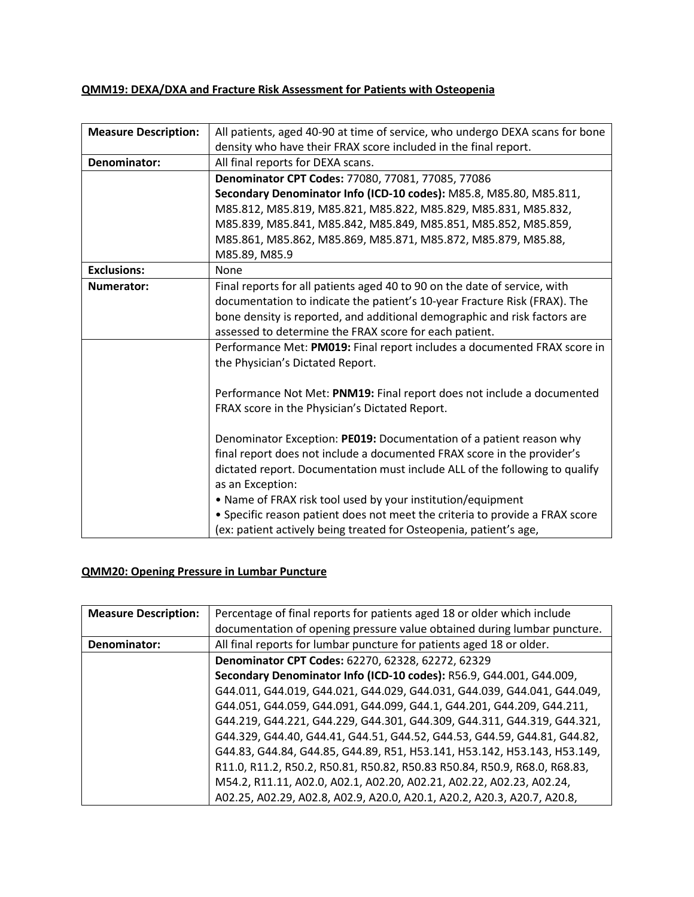## **QMM19: DEXA/DXA and Fracture Risk Assessment for Patients with Osteopenia**

| <b>Measure Description:</b> | All patients, aged 40-90 at time of service, who undergo DEXA scans for bone |
|-----------------------------|------------------------------------------------------------------------------|
|                             | density who have their FRAX score included in the final report.              |
| Denominator:                | All final reports for DEXA scans.                                            |
|                             | Denominator CPT Codes: 77080, 77081, 77085, 77086                            |
|                             | Secondary Denominator Info (ICD-10 codes): M85.8, M85.80, M85.811,           |
|                             | M85.812, M85.819, M85.821, M85.822, M85.829, M85.831, M85.832,               |
|                             | M85.839, M85.841, M85.842, M85.849, M85.851, M85.852, M85.859,               |
|                             | M85.861, M85.862, M85.869, M85.871, M85.872, M85.879, M85.88,                |
|                             | M85.89, M85.9                                                                |
| <b>Exclusions:</b>          | None                                                                         |
| <b>Numerator:</b>           | Final reports for all patients aged 40 to 90 on the date of service, with    |
|                             | documentation to indicate the patient's 10-year Fracture Risk (FRAX). The    |
|                             | bone density is reported, and additional demographic and risk factors are    |
|                             | assessed to determine the FRAX score for each patient.                       |
|                             | Performance Met: PM019: Final report includes a documented FRAX score in     |
|                             | the Physician's Dictated Report.                                             |
|                             |                                                                              |
|                             | Performance Not Met: PNM19: Final report does not include a documented       |
|                             | FRAX score in the Physician's Dictated Report.                               |
|                             |                                                                              |
|                             | Denominator Exception: PE019: Documentation of a patient reason why          |
|                             | final report does not include a documented FRAX score in the provider's      |
|                             | dictated report. Documentation must include ALL of the following to qualify  |
|                             | as an Exception:                                                             |
|                             | • Name of FRAX risk tool used by your institution/equipment                  |
|                             | • Specific reason patient does not meet the criteria to provide a FRAX score |
|                             | (ex: patient actively being treated for Osteopenia, patient's age,           |

## **QMM20: Opening Pressure in Lumbar Puncture**

| <b>Measure Description:</b> | Percentage of final reports for patients aged 18 or older which include   |
|-----------------------------|---------------------------------------------------------------------------|
|                             | documentation of opening pressure value obtained during lumbar puncture.  |
| Denominator:                | All final reports for lumbar puncture for patients aged 18 or older.      |
|                             | Denominator CPT Codes: 62270, 62328, 62272, 62329                         |
|                             | Secondary Denominator Info (ICD-10 codes): R56.9, G44.001, G44.009,       |
|                             | G44.011, G44.019, G44.021, G44.029, G44.031, G44.039, G44.041, G44.049,   |
|                             | G44.051, G44.059, G44.091, G44.099, G44.1, G44.201, G44.209, G44.211,     |
|                             | G44.219, G44.221, G44.229, G44.301, G44.309, G44.311, G44.319, G44.321,   |
|                             | G44.329, G44.40, G44.41, G44.51, G44.52, G44.53, G44.59, G44.81, G44.82,  |
|                             | G44.83, G44.84, G44.85, G44.89, R51, H53.141, H53.142, H53.143, H53.149,  |
|                             | R11.0, R11.2, R50.2, R50.81, R50.82, R50.83 R50.84, R50.9, R68.0, R68.83, |
|                             | M54.2, R11.11, A02.0, A02.1, A02.20, A02.21, A02.22, A02.23, A02.24,      |
|                             | A02.25, A02.29, A02.8, A02.9, A20.0, A20.1, A20.2, A20.3, A20.7, A20.8,   |